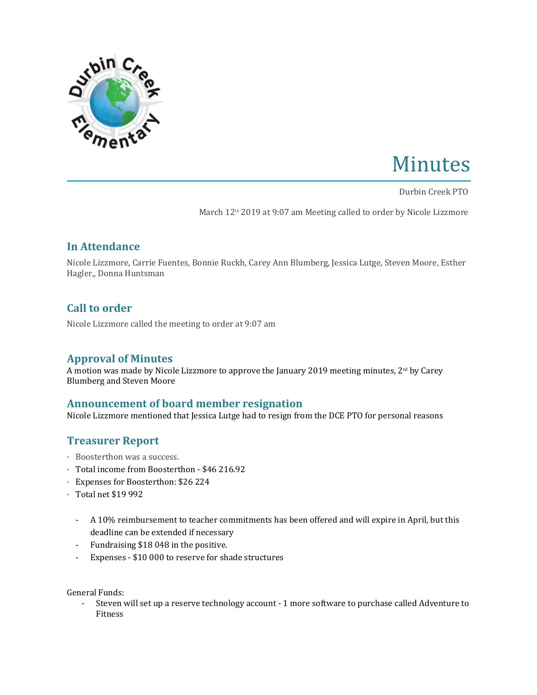

# Minutes

Durbin Creek PTO

March 12<sup>th</sup> 2019 at 9:07 am Meeting called to order by Nicole Lizzmore

# **In Attendance**

Nicole Lizzmore, Carrie Fuentes, Bonnie Ruckh, Carey Ann Blumberg, Jessica Lutge, Steven Moore, Esther Hagler,, Donna Huntsman

# **Call to order**

Nicole Lizzmore called the meeting to order at 9:07 am

# **Approval of Minutes**

A motion was made by Nicole Lizzmore to approve the January 2019 meeting minutes,  $2^{\text{nd}}$  by Carey Blumberg and Steven Moore

## **Announcement of board member resignation**

Nicole Lizzmore mentioned that Jessica Lutge had to resign from the DCE PTO for personal reasons

## **Treasurer Report**

- · Boosterthon was a success.
- · Total income from Boosterthon \$46 216.92
- · Expenses for Boosterthon: \$26 224
- · Total net \$19 992
	- A 10% reimbursement to teacher commitments has been offered and will expire in April, but this deadline can be extended if necessary
	- Fundraising \$18 048 in the positive.
	- Expenses \$10 000 to reserve for shade structures

General Funds:

- Steven will set up a reserve technology account - 1 more software to purchase called Adventure to Fitness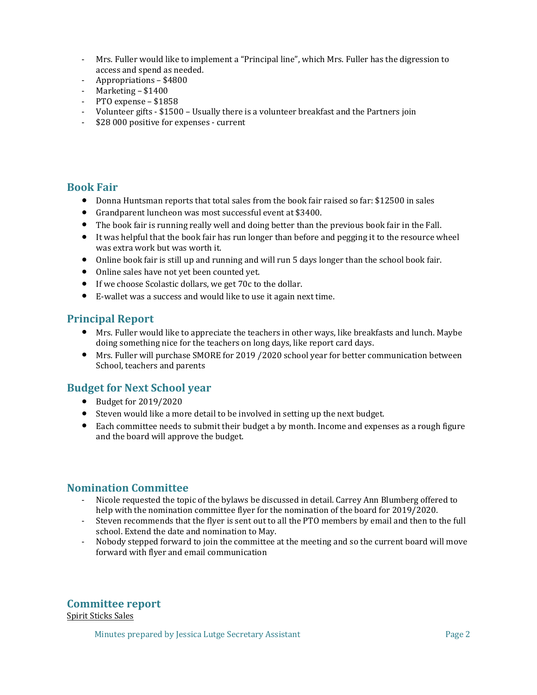- Mrs. Fuller would like to implement a "Principal line", which Mrs. Fuller has the digression to access and spend as needed.
- Appropriations \$4800
- Marketing \$1400
- PTO expense \$1858
- Volunteer gifts \$1500 Usually there is a volunteer breakfast and the Partners join
- \$28 000 positive for expenses current

#### **Book Fair**

- Donna Huntsman reports that total sales from the book fair raised so far: \$12500 in sales
- Grandparent luncheon was most successful event at \$3400.
- The book fair is running really well and doing better than the previous book fair in the Fall.
- It was helpful that the book fair has run longer than before and pegging it to the resource wheel was extra work but was worth it.
- Online book fair is still up and running and will run 5 days longer than the school book fair.
- Online sales have not yet been counted yet.
- If we choose Scolastic dollars, we get 70c to the dollar.
- E-wallet was a success and would like to use it again next time.

## **Principal Report**

- Mrs. Fuller would like to appreciate the teachers in other ways, like breakfasts and lunch. Maybe doing something nice for the teachers on long days, like report card days.
- Mrs. Fuller will purchase SMORE for 2019 /2020 school year for better communication between School, teachers and parents

## **Budget for Next School year**

- Budget for 2019/2020
- Steven would like a more detail to be involved in setting up the next budget.
- Each committee needs to submit their budget a by month. Income and expenses as a rough figure and the board will approve the budget.

#### **Nomination Committee**

- Nicole requested the topic of the bylaws be discussed in detail. Carrey Ann Blumberg offered to help with the nomination committee flyer for the nomination of the board for 2019/2020.
- Steven recommends that the flyer is sent out to all the PTO members by email and then to the full school. Extend the date and nomination to May.
- Nobody stepped forward to join the committee at the meeting and so the current board will move forward with flyer and email communication

**Committee report**

Spirit Sticks Sales